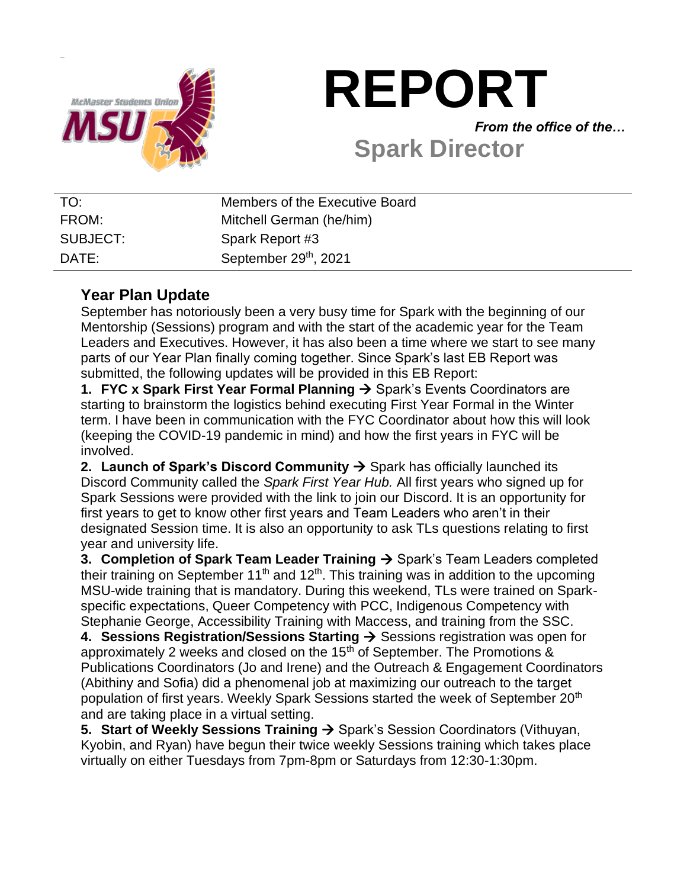

# **REPORT**

*From the office of the…*

## **Spark Director**

| TO:      | Members of the Executive Board    |
|----------|-----------------------------------|
| FROM:    | Mitchell German (he/him)          |
| SUBJECT: | Spark Report #3                   |
| DATE:    | September 29 <sup>th</sup> , 2021 |

## **Year Plan Update**

September has notoriously been a very busy time for Spark with the beginning of our Mentorship (Sessions) program and with the start of the academic year for the Team Leaders and Executives. However, it has also been a time where we start to see many parts of our Year Plan finally coming together. Since Spark's last EB Report was submitted, the following updates will be provided in this EB Report:

**1. FYC x Spark First Year Formal Planning → Spark's Events Coordinators are** starting to brainstorm the logistics behind executing First Year Formal in the Winter term. I have been in communication with the FYC Coordinator about how this will look (keeping the COVID-19 pandemic in mind) and how the first years in FYC will be involved.

**2. Launch of Spark's Discord Community**  $\rightarrow$  **Spark has officially launched its** Discord Community called the *Spark First Year Hub.* All first years who signed up for Spark Sessions were provided with the link to join our Discord. It is an opportunity for first years to get to know other first years and Team Leaders who aren't in their designated Session time. It is also an opportunity to ask TLs questions relating to first year and university life.

**3. Completion of Spark Team Leader Training → Spark's Team Leaders completed** their training on September 11<sup>th</sup> and 12<sup>th</sup>. This training was in addition to the upcoming MSU-wide training that is mandatory. During this weekend, TLs were trained on Sparkspecific expectations, Queer Competency with PCC, Indigenous Competency with Stephanie George, Accessibility Training with Maccess, and training from the SSC.

**4. Sessions Registration/Sessions Starting** → Sessions registration was open for approximately 2 weeks and closed on the 15<sup>th</sup> of September. The Promotions & Publications Coordinators (Jo and Irene) and the Outreach & Engagement Coordinators (Abithiny and Sofia) did a phenomenal job at maximizing our outreach to the target population of first years. Weekly Spark Sessions started the week of September 20<sup>th</sup> and are taking place in a virtual setting.

**5. Start of Weekly Sessions Training → Spark's Session Coordinators (Vithuyan,** Kyobin, and Ryan) have begun their twice weekly Sessions training which takes place virtually on either Tuesdays from 7pm-8pm or Saturdays from 12:30-1:30pm.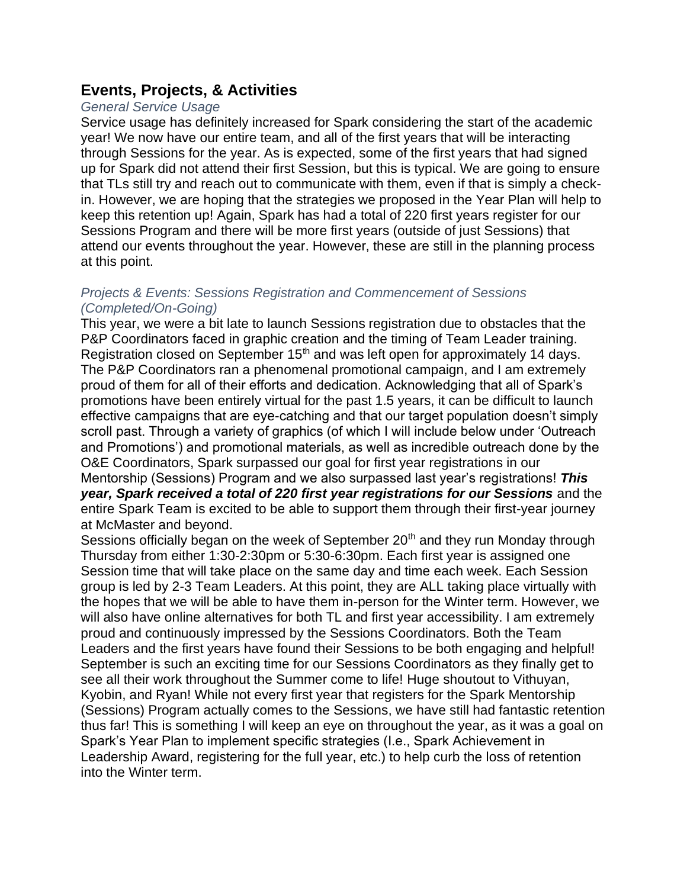## **Events, Projects, & Activities**

## *General Service Usage*

Service usage has definitely increased for Spark considering the start of the academic year! We now have our entire team, and all of the first years that will be interacting through Sessions for the year. As is expected, some of the first years that had signed up for Spark did not attend their first Session, but this is typical. We are going to ensure that TLs still try and reach out to communicate with them, even if that is simply a checkin. However, we are hoping that the strategies we proposed in the Year Plan will help to keep this retention up! Again, Spark has had a total of 220 first years register for our Sessions Program and there will be more first years (outside of just Sessions) that attend our events throughout the year. However, these are still in the planning process at this point.

#### *Projects & Events: Sessions Registration and Commencement of Sessions (Completed/On-Going)*

This year, we were a bit late to launch Sessions registration due to obstacles that the P&P Coordinators faced in graphic creation and the timing of Team Leader training. Registration closed on September 15<sup>th</sup> and was left open for approximately 14 days. The P&P Coordinators ran a phenomenal promotional campaign, and I am extremely proud of them for all of their efforts and dedication. Acknowledging that all of Spark's promotions have been entirely virtual for the past 1.5 years, it can be difficult to launch effective campaigns that are eye-catching and that our target population doesn't simply scroll past. Through a variety of graphics (of which I will include below under 'Outreach and Promotions') and promotional materials, as well as incredible outreach done by the O&E Coordinators, Spark surpassed our goal for first year registrations in our Mentorship (Sessions) Program and we also surpassed last year's registrations! *This year, Spark received a total of 220 first year registrations for our Sessions* and the entire Spark Team is excited to be able to support them through their first-year journey at McMaster and beyond.

Sessions officially began on the week of September  $20<sup>th</sup>$  and they run Monday through Thursday from either 1:30-2:30pm or 5:30-6:30pm. Each first year is assigned one Session time that will take place on the same day and time each week. Each Session group is led by 2-3 Team Leaders. At this point, they are ALL taking place virtually with the hopes that we will be able to have them in-person for the Winter term. However, we will also have online alternatives for both TL and first year accessibility. I am extremely proud and continuously impressed by the Sessions Coordinators. Both the Team Leaders and the first years have found their Sessions to be both engaging and helpful! September is such an exciting time for our Sessions Coordinators as they finally get to see all their work throughout the Summer come to life! Huge shoutout to Vithuyan, Kyobin, and Ryan! While not every first year that registers for the Spark Mentorship (Sessions) Program actually comes to the Sessions, we have still had fantastic retention thus far! This is something I will keep an eye on throughout the year, as it was a goal on Spark's Year Plan to implement specific strategies (I.e., Spark Achievement in Leadership Award, registering for the full year, etc.) to help curb the loss of retention into the Winter term.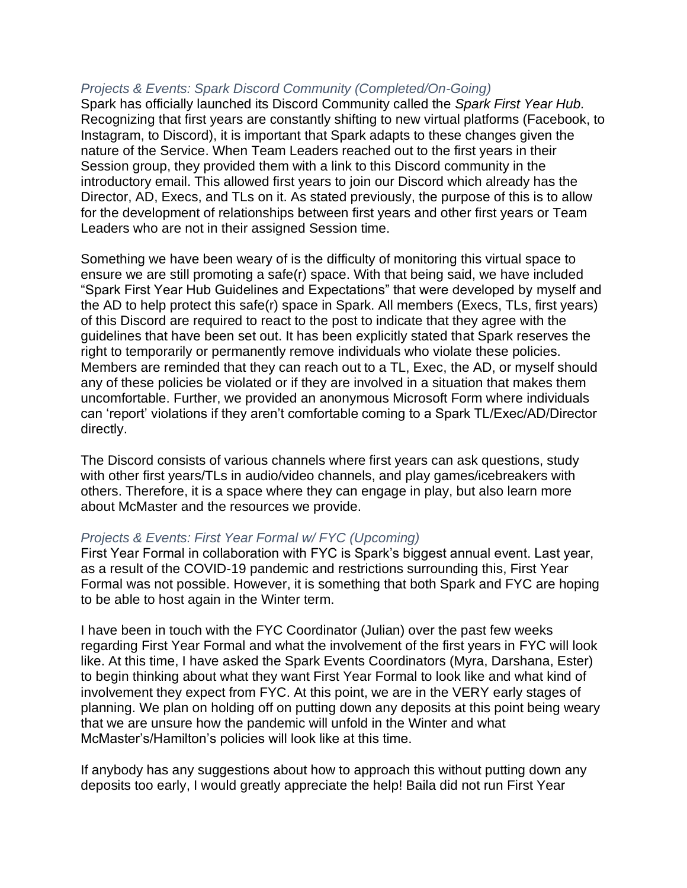### *Projects & Events: Spark Discord Community (Completed/On-Going)*

Spark has officially launched its Discord Community called the *Spark First Year Hub.*  Recognizing that first years are constantly shifting to new virtual platforms (Facebook, to Instagram, to Discord), it is important that Spark adapts to these changes given the nature of the Service. When Team Leaders reached out to the first years in their Session group, they provided them with a link to this Discord community in the introductory email. This allowed first years to join our Discord which already has the Director, AD, Execs, and TLs on it. As stated previously, the purpose of this is to allow for the development of relationships between first years and other first years or Team Leaders who are not in their assigned Session time.

Something we have been weary of is the difficulty of monitoring this virtual space to ensure we are still promoting a safe(r) space. With that being said, we have included "Spark First Year Hub Guidelines and Expectations" that were developed by myself and the AD to help protect this safe(r) space in Spark. All members (Execs, TLs, first years) of this Discord are required to react to the post to indicate that they agree with the guidelines that have been set out. It has been explicitly stated that Spark reserves the right to temporarily or permanently remove individuals who violate these policies. Members are reminded that they can reach out to a TL, Exec, the AD, or myself should any of these policies be violated or if they are involved in a situation that makes them uncomfortable. Further, we provided an anonymous Microsoft Form where individuals can 'report' violations if they aren't comfortable coming to a Spark TL/Exec/AD/Director directly.

The Discord consists of various channels where first years can ask questions, study with other first years/TLs in audio/video channels, and play games/icebreakers with others. Therefore, it is a space where they can engage in play, but also learn more about McMaster and the resources we provide.

### *Projects & Events: First Year Formal w/ FYC (Upcoming)*

First Year Formal in collaboration with FYC is Spark's biggest annual event. Last year, as a result of the COVID-19 pandemic and restrictions surrounding this, First Year Formal was not possible. However, it is something that both Spark and FYC are hoping to be able to host again in the Winter term.

I have been in touch with the FYC Coordinator (Julian) over the past few weeks regarding First Year Formal and what the involvement of the first years in FYC will look like. At this time, I have asked the Spark Events Coordinators (Myra, Darshana, Ester) to begin thinking about what they want First Year Formal to look like and what kind of involvement they expect from FYC. At this point, we are in the VERY early stages of planning. We plan on holding off on putting down any deposits at this point being weary that we are unsure how the pandemic will unfold in the Winter and what McMaster's/Hamilton's policies will look like at this time.

If anybody has any suggestions about how to approach this without putting down any deposits too early, I would greatly appreciate the help! Baila did not run First Year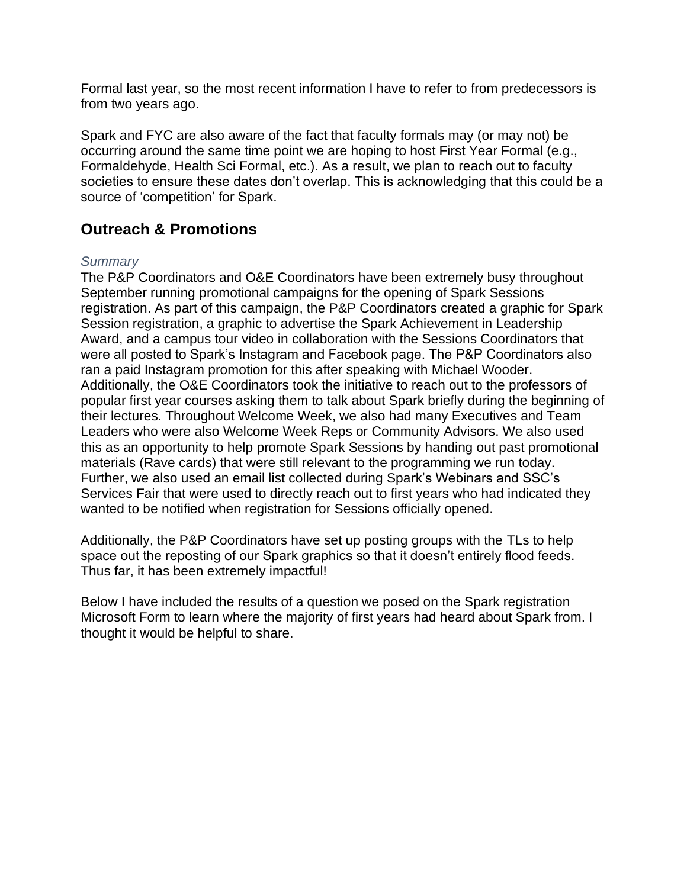Formal last year, so the most recent information I have to refer to from predecessors is from two years ago.

Spark and FYC are also aware of the fact that faculty formals may (or may not) be occurring around the same time point we are hoping to host First Year Formal (e.g., Formaldehyde, Health Sci Formal, etc.). As a result, we plan to reach out to faculty societies to ensure these dates don't overlap. This is acknowledging that this could be a source of 'competition' for Spark.

## **Outreach & Promotions**

### *Summary*

The P&P Coordinators and O&E Coordinators have been extremely busy throughout September running promotional campaigns for the opening of Spark Sessions registration. As part of this campaign, the P&P Coordinators created a graphic for Spark Session registration, a graphic to advertise the Spark Achievement in Leadership Award, and a campus tour video in collaboration with the Sessions Coordinators that were all posted to Spark's Instagram and Facebook page. The P&P Coordinators also ran a paid Instagram promotion for this after speaking with Michael Wooder. Additionally, the O&E Coordinators took the initiative to reach out to the professors of popular first year courses asking them to talk about Spark briefly during the beginning of their lectures. Throughout Welcome Week, we also had many Executives and Team Leaders who were also Welcome Week Reps or Community Advisors. We also used this as an opportunity to help promote Spark Sessions by handing out past promotional materials (Rave cards) that were still relevant to the programming we run today. Further, we also used an email list collected during Spark's Webinars and SSC's Services Fair that were used to directly reach out to first years who had indicated they wanted to be notified when registration for Sessions officially opened.

Additionally, the P&P Coordinators have set up posting groups with the TLs to help space out the reposting of our Spark graphics so that it doesn't entirely flood feeds. Thus far, it has been extremely impactful!

Below I have included the results of a question we posed on the Spark registration Microsoft Form to learn where the majority of first years had heard about Spark from. I thought it would be helpful to share.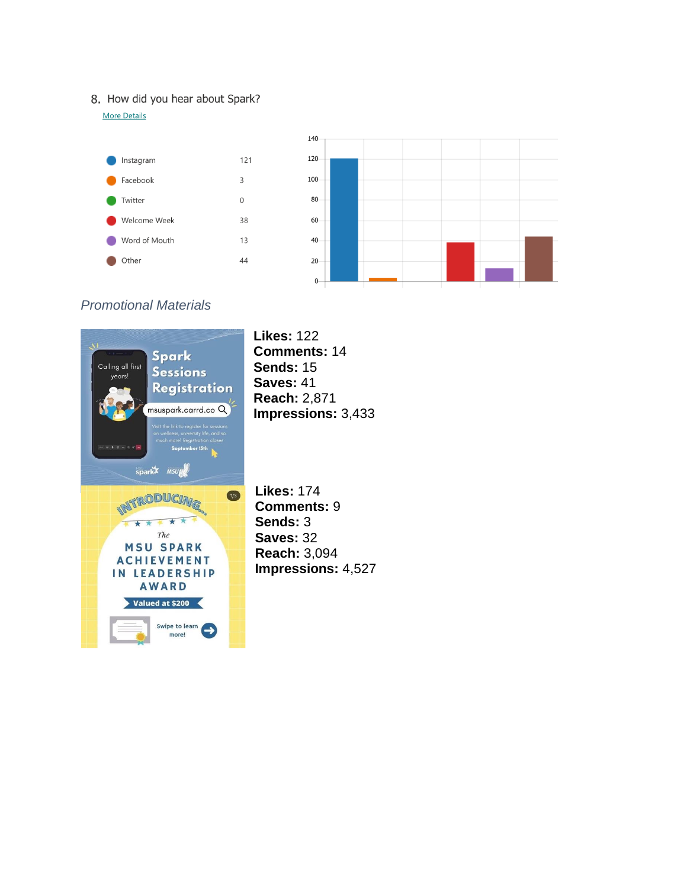#### 8. How did you hear about Spark?

**More Details** 



## *Promotional Materials*

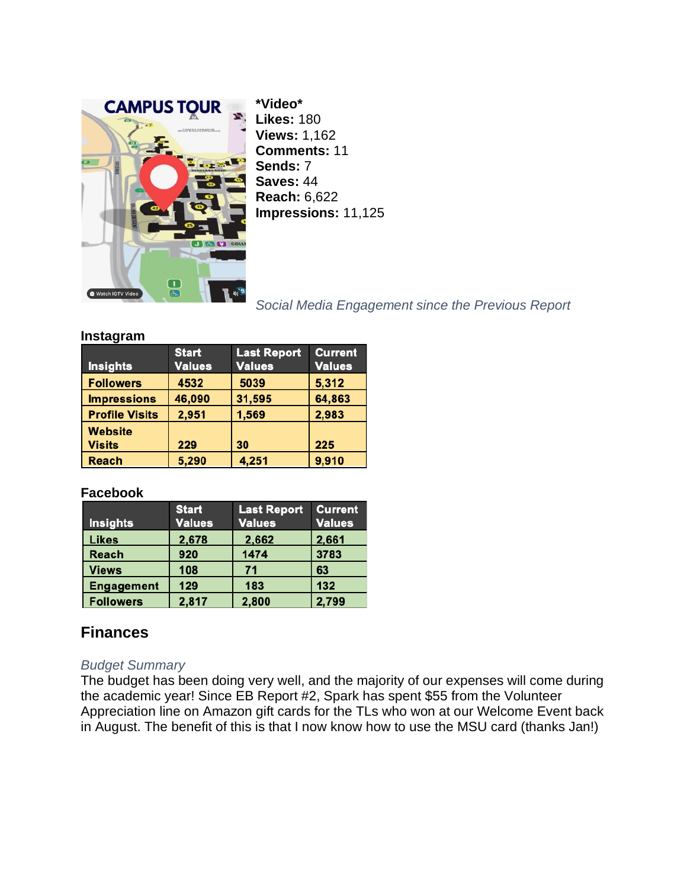

**\*Video\* Likes:** 180 **Views:** 1,162 **Comments:** 11 **Sends:** 7 **Saves:** 44 **Reach:** 6,622 **Impressions:** 11,125

## *Social Media Engagement since the Previous Report*

#### **Instagram**

| <b>Insights</b>                 | <b>Start</b><br><b>Values</b> | <b>Last Report</b><br><b>Values</b> | <b>Current</b><br><b>Values</b> |
|---------------------------------|-------------------------------|-------------------------------------|---------------------------------|
| <b>Followers</b>                | 4532                          | 5039                                | 5,312                           |
| <b>Impressions</b>              | 46,090                        | 31,595                              | 64,863                          |
| <b>Profile Visits</b>           | 2,951                         | 1,569                               | 2,983                           |
| <b>Website</b><br><b>Visits</b> | 229                           | 30                                  | 225                             |
| Reach                           | 5,290                         | 4,251                               | 9,910                           |

### **Facebook**

| <b>Insights</b>   | <b>Start</b><br><b>Values</b> | <b>Last Report</b><br><b>Values</b> | <b>Current</b><br><b>Values</b> |
|-------------------|-------------------------------|-------------------------------------|---------------------------------|
| <b>Likes</b>      | 2,678                         | 2,662                               | 2,661                           |
| <b>Reach</b>      | 920                           | 1474                                | 3783                            |
| <b>Views</b>      | 108                           | 71                                  | 63                              |
| <b>Engagement</b> | 129                           | 183                                 | 132                             |
| <b>Followers</b>  | 2,817                         | 2,800                               | 2,799                           |

## **Finances**

### *Budget Summary*

The budget has been doing very well, and the majority of our expenses will come during the academic year! Since EB Report #2, Spark has spent \$55 from the Volunteer Appreciation line on Amazon gift cards for the TLs who won at our Welcome Event back in August. The benefit of this is that I now know how to use the MSU card (thanks Jan!)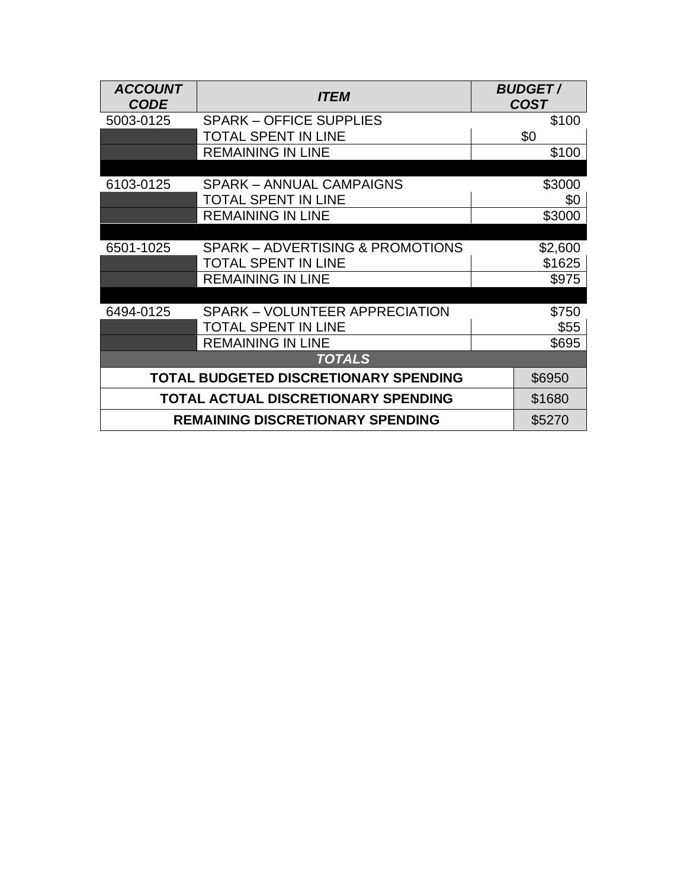| <b>ACCOUNT</b><br><b>CODE</b>              | <i><b>ITEM</b></i>                          | <b>BUDGET/</b><br><b>COST</b> |  |  |
|--------------------------------------------|---------------------------------------------|-------------------------------|--|--|
| 5003-0125                                  | <b>SPARK – OFFICE SUPPLIES</b>              | \$100                         |  |  |
|                                            | <b>TOTAL SPENT IN LINE</b>                  | \$0                           |  |  |
|                                            | <b>REMAINING IN LINE</b>                    | \$100                         |  |  |
|                                            |                                             |                               |  |  |
| 6103-0125                                  | <b>SPARK - ANNUAL CAMPAIGNS</b>             | \$3000                        |  |  |
|                                            | <b>TOTAL SPENT IN LINE</b>                  | \$0                           |  |  |
|                                            | <b>REMAINING IN LINE</b>                    | \$3000                        |  |  |
|                                            |                                             |                               |  |  |
| 6501-1025                                  | <b>SPARK - ADVERTISING &amp; PROMOTIONS</b> | \$2,600                       |  |  |
|                                            | <b>TOTAL SPENT IN LINE</b>                  | \$1625                        |  |  |
|                                            | <b>REMAINING IN LINE</b>                    | \$975                         |  |  |
|                                            |                                             |                               |  |  |
| 6494-0125                                  | <b>SPARK – VOLUNTEER APPRECIATION</b>       | \$750                         |  |  |
|                                            | <b>TOTAL SPENT IN LINE</b>                  | \$55                          |  |  |
|                                            | <b>REMAINING IN LINE</b>                    | \$695                         |  |  |
| <b>TOTALS</b>                              |                                             |                               |  |  |
| TOTAL BUDGETED DISCRETIONARY SPENDING      | \$6950                                      |                               |  |  |
| <b>TOTAL ACTUAL DISCRETIONARY SPENDING</b> | \$1680                                      |                               |  |  |
| <b>REMAINING DISCRETIONARY SPENDING</b>    | \$5270                                      |                               |  |  |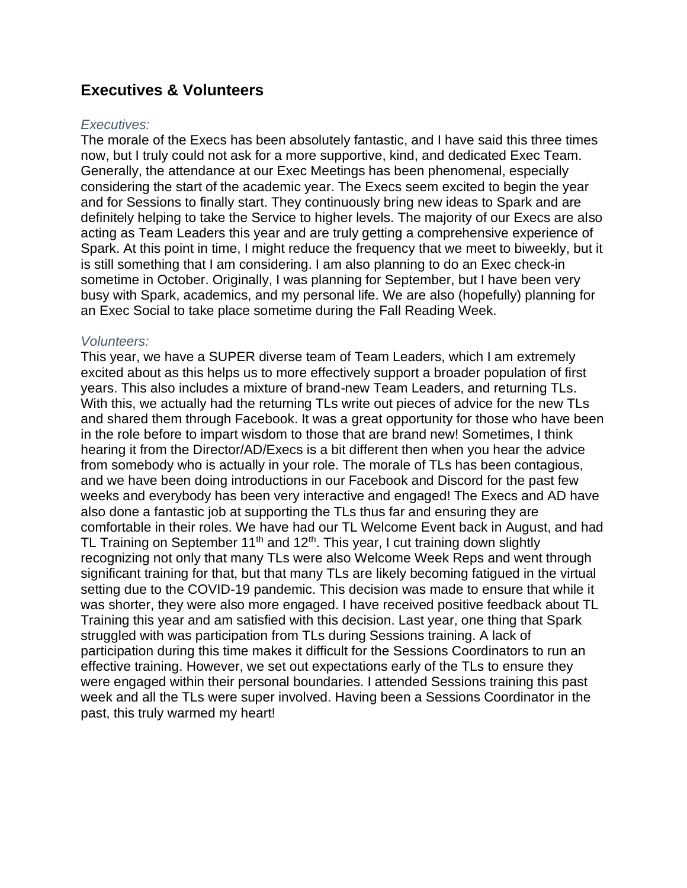## **Executives & Volunteers**

#### *Executives:*

The morale of the Execs has been absolutely fantastic, and I have said this three times now, but I truly could not ask for a more supportive, kind, and dedicated Exec Team. Generally, the attendance at our Exec Meetings has been phenomenal, especially considering the start of the academic year. The Execs seem excited to begin the year and for Sessions to finally start. They continuously bring new ideas to Spark and are definitely helping to take the Service to higher levels. The majority of our Execs are also acting as Team Leaders this year and are truly getting a comprehensive experience of Spark. At this point in time, I might reduce the frequency that we meet to biweekly, but it is still something that I am considering. I am also planning to do an Exec check-in sometime in October. Originally, I was planning for September, but I have been very busy with Spark, academics, and my personal life. We are also (hopefully) planning for an Exec Social to take place sometime during the Fall Reading Week.

#### *Volunteers:*

This year, we have a SUPER diverse team of Team Leaders, which I am extremely excited about as this helps us to more effectively support a broader population of first years. This also includes a mixture of brand-new Team Leaders, and returning TLs. With this, we actually had the returning TLs write out pieces of advice for the new TLs and shared them through Facebook. It was a great opportunity for those who have been in the role before to impart wisdom to those that are brand new! Sometimes, I think hearing it from the Director/AD/Execs is a bit different then when you hear the advice from somebody who is actually in your role. The morale of TLs has been contagious, and we have been doing introductions in our Facebook and Discord for the past few weeks and everybody has been very interactive and engaged! The Execs and AD have also done a fantastic job at supporting the TLs thus far and ensuring they are comfortable in their roles. We have had our TL Welcome Event back in August, and had TL Training on September 11<sup>th</sup> and 12<sup>th</sup>. This year, I cut training down slightly recognizing not only that many TLs were also Welcome Week Reps and went through significant training for that, but that many TLs are likely becoming fatigued in the virtual setting due to the COVID-19 pandemic. This decision was made to ensure that while it was shorter, they were also more engaged. I have received positive feedback about TL Training this year and am satisfied with this decision. Last year, one thing that Spark struggled with was participation from TLs during Sessions training. A lack of participation during this time makes it difficult for the Sessions Coordinators to run an effective training. However, we set out expectations early of the TLs to ensure they were engaged within their personal boundaries. I attended Sessions training this past week and all the TLs were super involved. Having been a Sessions Coordinator in the past, this truly warmed my heart!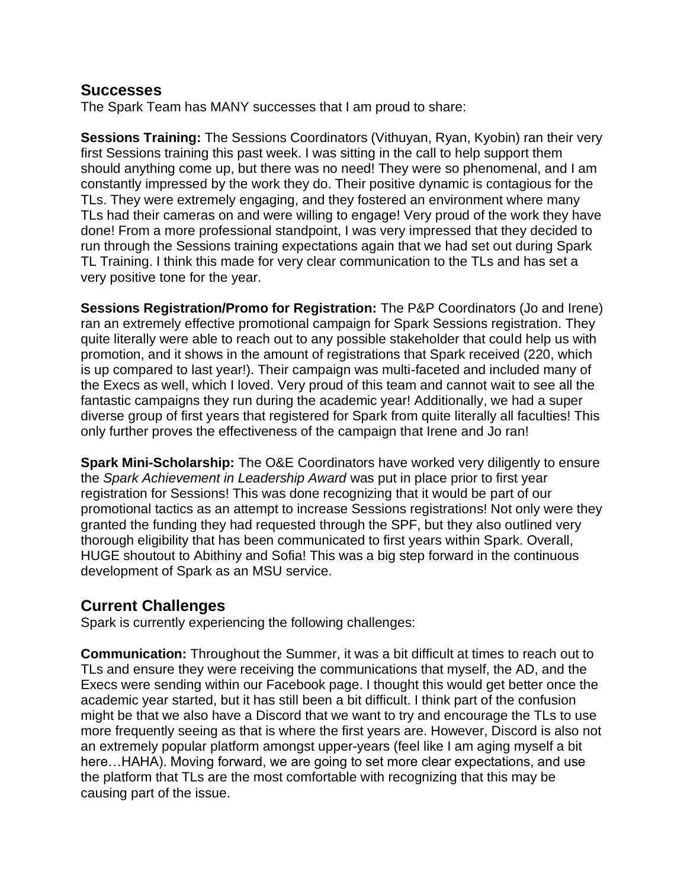## **Successes**

The Spark Team has MANY successes that I am proud to share:

**Sessions Training:** The Sessions Coordinators (Vithuyan, Ryan, Kyobin) ran their very first Sessions training this past week. I was sitting in the call to help support them should anything come up, but there was no need! They were so phenomenal, and I am constantly impressed by the work they do. Their positive dynamic is contagious for the TLs. They were extremely engaging, and they fostered an environment where many TLs had their cameras on and were willing to engage! Very proud of the work they have done! From a more professional standpoint, I was very impressed that they decided to run through the Sessions training expectations again that we had set out during Spark TL Training. I think this made for very clear communication to the TLs and has set a very positive tone for the year.

**Sessions Registration/Promo for Registration:** The P&P Coordinators (Jo and Irene) ran an extremely effective promotional campaign for Spark Sessions registration. They quite literally were able to reach out to any possible stakeholder that could help us with promotion, and it shows in the amount of registrations that Spark received (220, which is up compared to last year!). Their campaign was multi-faceted and included many of the Execs as well, which I loved. Very proud of this team and cannot wait to see all the fantastic campaigns they run during the academic year! Additionally, we had a super diverse group of first years that registered for Spark from quite literally all faculties! This only further proves the effectiveness of the campaign that Irene and Jo ran!

**Spark Mini-Scholarship:** The O&E Coordinators have worked very diligently to ensure the *Spark Achievement in Leadership Award* was put in place prior to first year registration for Sessions! This was done recognizing that it would be part of our promotional tactics as an attempt to increase Sessions registrations! Not only were they granted the funding they had requested through the SPF, but they also outlined very thorough eligibility that has been communicated to first years within Spark. Overall, HUGE shoutout to Abithiny and Sofia! This was a big step forward in the continuous development of Spark as an MSU service.

## **Current Challenges**

Spark is currently experiencing the following challenges:

**Communication:** Throughout the Summer, it was a bit difficult at times to reach out to TLs and ensure they were receiving the communications that myself, the AD, and the Execs were sending within our Facebook page. I thought this would get better once the academic year started, but it has still been a bit difficult. I think part of the confusion might be that we also have a Discord that we want to try and encourage the TLs to use more frequently seeing as that is where the first years are. However, Discord is also not an extremely popular platform amongst upper-years (feel like I am aging myself a bit here…HAHA). Moving forward, we are going to set more clear expectations, and use the platform that TLs are the most comfortable with recognizing that this may be causing part of the issue.